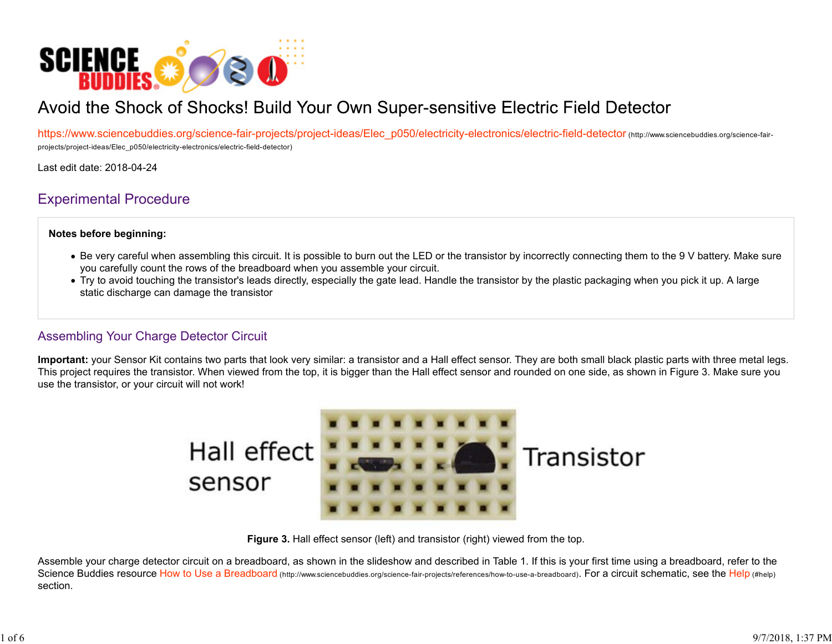

# Avoid the Shock of Shocks! Build Your Own Super-sensitive Electric Field Detector

https://www.sciencebuddies.org/science-fair-projects/project-ideas/Elec\_p050/electricity-electronics/electric-field-detector (http://www.sciencebuddies.org/science-fairprojects/project-ideas/Elec\_p050/electricity-electronics/electric-field-detector)

Last edit date: 2018-04-24

## Experimental Procedure

#### **Notes before beginning:**

- Be very careful when assembling this circuit. It is possible to burn out the LED or the transistor by incorrectly connecting them to the 9 V battery. Make sure you carefully count the rows of the breadboard when you assemble your circuit.
- Try to avoid touching the transistor's leads directly, especially the gate lead. Handle the transistor by the plastic packaging when you pick it up. A large static discharge can damage the transistor

#### Assembling Your Charge Detector Circuit

**Important:** your Sensor Kit contains two parts that look very similar: a transistor and a Hall effect sensor. They are both small black plastic parts with three metal legs. This project requires the transistor. When viewed from the top, it is bigger than the Hall effect sensor and rounded on one side, as shown in Figure 3. Make sure you use the transistor, or your circuit will not work!



**Figure 3.** Hall effect sensor (left) and transistor (right) viewed from the top.

Assemble your charge detector circuit on a breadboard, as shown in the slideshow and described in Table 1. If this is your first time using a breadboard, refer to the Science Buddies resource How to Use a Breadboard (http://www.sciencebuddies.org/science-fair-projects/references/how-to-use-a-breadboard). For a circuit schematic, see the Help (#help) section.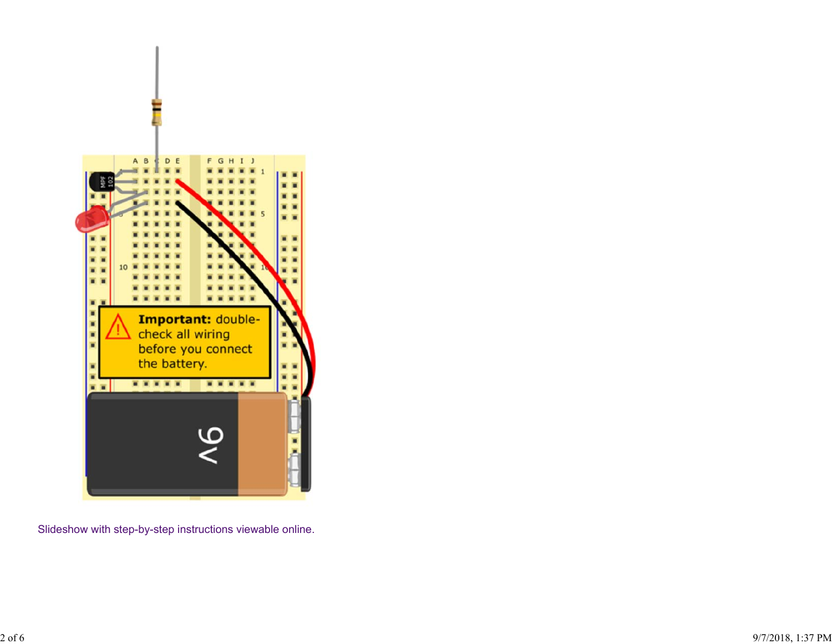

Slideshow with step-by-step instructions viewable online.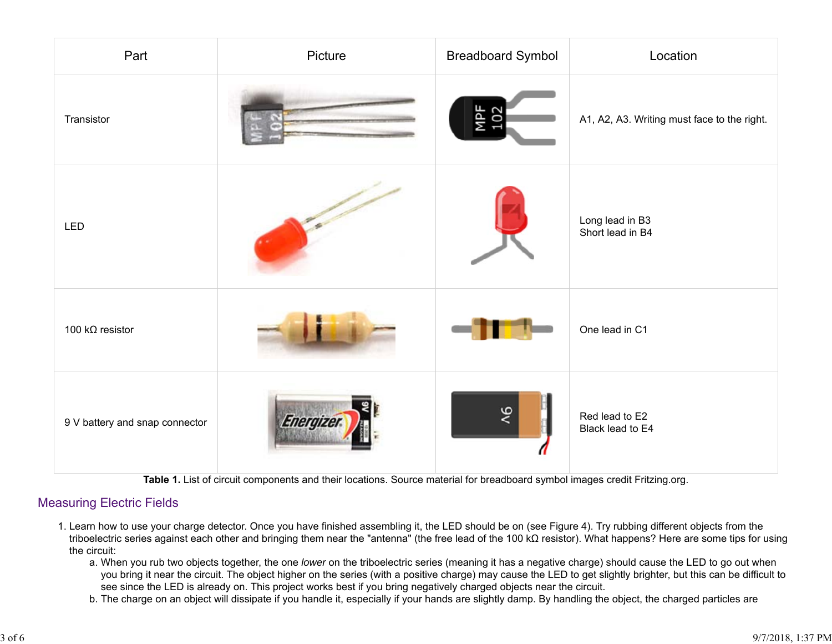| Part                           | Picture          | <b>Breadboard Symbol</b> | Location                                    |
|--------------------------------|------------------|--------------------------|---------------------------------------------|
| Transistor                     |                  | MPF<br>102               | A1, A2, A3. Writing must face to the right. |
| LED                            |                  |                          | Long lead in B3<br>Short lead in B4         |
| 100 k $\Omega$ resistor        |                  |                          | One lead in C1                              |
| 9 V battery and snap connector | <b>Energizer</b> |                          | Red lead to E2<br>Black lead to E4          |

**Table 1.** List of circuit components and their locations. Source material for breadboard symbol images credit Fritzing.org.

### Measuring Electric Fields

- 1. Learn how to use your charge detector. Once you have finished assembling it, the LED should be on (see Figure 4). Try rubbing different objects from the triboelectric series against each other and bringing them near the "antenna" (the free lead of the 100 kΩ resistor). What happens? Here are some tips for using the circuit:
	- a. When you rub two objects together, the one *lower* on the triboelectric series (meaning it has a negative charge) should cause the LED to go out when you bring it near the circuit. The object higher on the series (with a positive charge) may cause the LED to get slightly brighter, but this can be difficult to see since the LED is already on. This project works best if you bring negatively charged objects near the circuit.
	- b. The charge on an object will dissipate if you handle it, especially if your hands are slightly damp. By handling the object, the charged particles are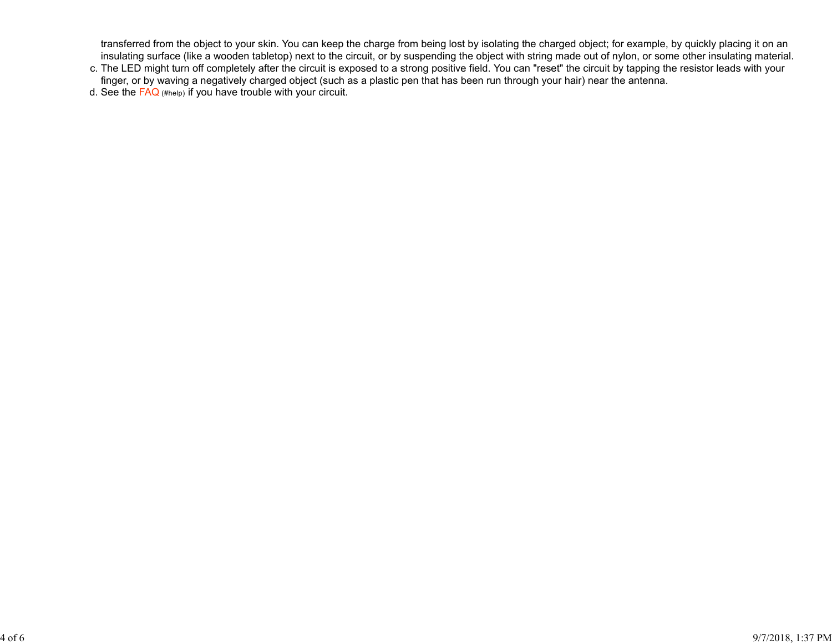transferred from the object to your skin. You can keep the charge from being lost by isolating the charged object; for example, by quickly placing it on an insulating surface (like a wooden tabletop) next to the circuit, or by suspending the object with string made out of nylon, or some other insulating material.

d. See the FAQ (#help) if you have trouble with your circuit.

c. The LED might turn off completely after the circuit is exposed to a strong positive field. You can "reset" the circuit by tapping the resistor leads with your finger, or by waving a negatively charged object (such as a plastic pen that has been run through your hair) near the antenna.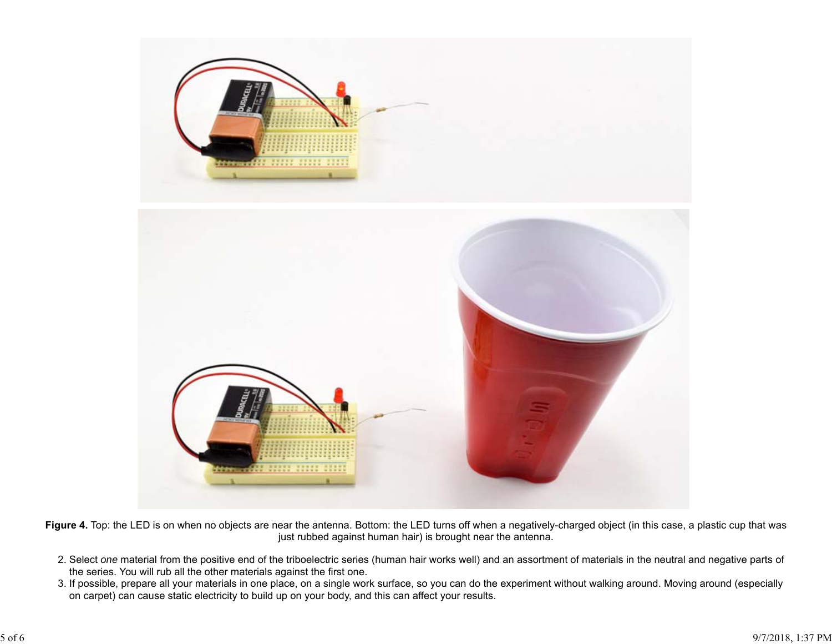

Figure 4. Top: the LED is on when no objects are near the antenna. Bottom: the LED turns off when a negatively-charged object (in this case, a plastic cup that was just rubbed against human hair) is brought near the antenna.

- 2. Select *one* material from the positive end of the triboelectric series (human hair works well) and an assortment of materials in the neutral and negative parts of the series. You will rub all the other materials against the first one.
- 3. If possible, prepare all your materials in one place, on a single work surface, so you can do the experiment without walking around. Moving around (especially on carpet) can cause static electricity to build up on your body, and this can affect your results.